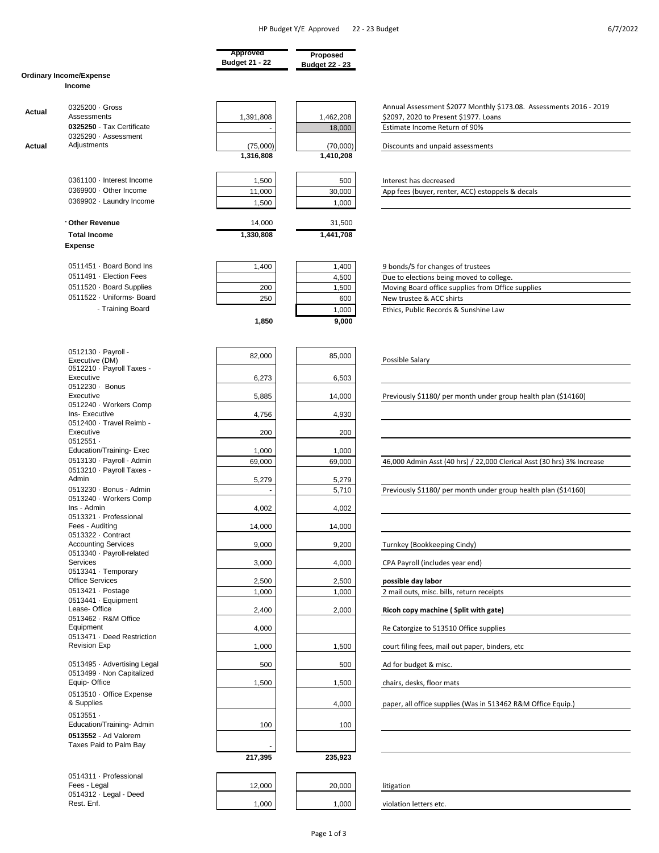|        |                                               | Approved              | Proposed              |                                                                        |
|--------|-----------------------------------------------|-----------------------|-----------------------|------------------------------------------------------------------------|
|        |                                               | <b>Budget 21 - 22</b> | <b>Budget 22 - 23</b> |                                                                        |
|        | <b>Ordinary Income/Expense</b>                |                       |                       |                                                                        |
|        | Income                                        |                       |                       |                                                                        |
|        |                                               |                       |                       |                                                                        |
|        | 0325200 · Gross                               |                       |                       | Annual Assessment \$2077 Monthly \$173.08. Assessments 2016 - 2019     |
| Actual | Assessments                                   | 1,391,808             | 1,462,208             | \$2097, 2020 to Present \$1977. Loans                                  |
|        | 0325250 - Tax Certificate                     |                       | 18,000                | Estimate Income Return of 90%                                          |
|        | 0325290 · Assessment                          |                       |                       |                                                                        |
| Actual | Adjustments                                   | (75,000)              | (70,000)              | Discounts and unpaid assessments                                       |
|        |                                               | 1,316,808             | 1,410,208             |                                                                        |
|        |                                               |                       |                       |                                                                        |
|        |                                               |                       |                       |                                                                        |
|        | 0361100 · Interest Income                     | 1,500                 | 500                   | Interest has decreased                                                 |
|        | 0369900 · Other Income                        | 11,000                | 30,000                | App fees (buyer, renter, ACC) estoppels & decals                       |
|        | 0369902 · Laundry Income                      | 1,500                 | 1,000                 |                                                                        |
|        |                                               |                       |                       |                                                                        |
|        | Other Revenue                                 | 14,000                | 31,500                |                                                                        |
|        | <b>Total Income</b>                           | 1,330,808             | 1,441,708             |                                                                        |
|        | <b>Expense</b>                                |                       |                       |                                                                        |
|        |                                               |                       |                       |                                                                        |
|        | 0511451 · Board Bond Ins                      | 1,400                 | 1,400                 | 9 bonds/5 for changes of trustees                                      |
|        | 0511491 · Election Fees                       |                       | 4,500                 | Due to elections being moved to college.                               |
|        | 0511520 · Board Supplies                      | 200                   | 1,500                 | Moving Board office supplies from Office supplies                      |
|        | 0511522 · Uniforms- Board                     | 250                   | 600                   | New trustee & ACC shirts                                               |
|        | - Training Board                              |                       |                       | Ethics, Public Records & Sunshine Law                                  |
|        |                                               |                       | 1,000                 |                                                                        |
|        |                                               | 1,850                 | 9,000                 |                                                                        |
|        |                                               |                       |                       |                                                                        |
|        |                                               |                       |                       |                                                                        |
|        | 0512130 · Payroll -                           | 82,000                | 85,000                | Possible Salary                                                        |
|        | Executive (DM)<br>0512210 · Payroll Taxes -   |                       |                       |                                                                        |
|        | Executive                                     | 6,273                 | 6,503                 |                                                                        |
|        | 0512230 · Bonus                               |                       |                       |                                                                        |
|        | Executive                                     | 5,885                 | 14,000                | Previously \$1180/ per month under group health plan (\$14160)         |
|        | 0512240 · Workers Comp                        |                       |                       |                                                                        |
|        | Ins- Executive                                | 4,756                 | 4,930                 |                                                                        |
|        | 0512400 · Travel Reimb -                      |                       |                       |                                                                        |
|        | Executive                                     | 200                   | 200                   |                                                                        |
|        | $0512551 -$                                   |                       |                       |                                                                        |
|        | Education/Training-Exec                       | 1,000                 | 1,000                 |                                                                        |
|        | 0513130 · Payroll - Admin                     | 69,000                | 69,000                | 46,000 Admin Asst (40 hrs) / 22,000 Clerical Asst (30 hrs) 3% Increase |
|        | 0513210 · Payroll Taxes -<br>Admin            | 5,279                 | 5,279                 |                                                                        |
|        | 0513230 · Bonus - Admin                       |                       |                       |                                                                        |
|        | 0513240 · Workers Comp                        |                       | 5,710                 | Previously \$1180/ per month under group health plan (\$14160)         |
|        | Ins - Admin                                   | 4,002                 | 4,002                 |                                                                        |
|        | 0513321 · Professional                        |                       |                       |                                                                        |
|        | Fees - Auditing                               | 14,000                | 14,000                |                                                                        |
|        | 0513322 · Contract                            |                       |                       |                                                                        |
|        | <b>Accounting Services</b>                    | 9,000                 | 9,200                 | Turnkey (Bookkeeping Cindy)                                            |
|        | 0513340 · Payroll-related                     |                       |                       |                                                                        |
|        | Services                                      | 3,000                 | 4,000                 | CPA Payroll (includes year end)                                        |
|        | 0513341 · Temporary<br><b>Office Services</b> |                       |                       |                                                                        |
|        |                                               | 2,500                 | 2,500                 | possible day labor                                                     |
|        | 0513421 · Postage<br>0513441 · Equipment      | 1,000                 | 1,000                 | 2 mail outs, misc. bills, return receipts                              |
|        | Lease-Office                                  | 2,400                 | 2,000                 | Ricoh copy machine (Split with gate)                                   |
|        | 0513462 · R&M Office                          |                       |                       |                                                                        |
|        | Equipment                                     | 4,000                 |                       | Re Catorgize to 513510 Office supplies                                 |
|        | 0513471 · Deed Restriction                    |                       |                       |                                                                        |
|        | <b>Revision Exp</b>                           | 1,000                 | 1,500                 | court filing fees, mail out paper, binders, etc                        |
|        |                                               |                       |                       |                                                                        |
|        | 0513495 · Advertising Legal                   | 500                   | 500                   | Ad for budget & misc.                                                  |
|        | 0513499 · Non Capitalized                     |                       |                       |                                                                        |
|        | Equip-Office                                  | 1,500                 | 1,500                 | chairs, desks, floor mats                                              |
|        | 0513510 · Office Expense                      |                       |                       |                                                                        |
|        | & Supplies                                    |                       | 4,000                 | paper, all office supplies (Was in 513462 R&M Office Equip.)           |
|        | $0513551 -$                                   |                       |                       |                                                                        |
|        | Education/Training-Admin                      | 100                   | 100                   |                                                                        |
|        | 0513552 - Ad Valorem                          |                       |                       |                                                                        |
|        | Taxes Paid to Palm Bay                        |                       |                       |                                                                        |
|        |                                               | 217,395               | 235,923               |                                                                        |
|        |                                               |                       |                       |                                                                        |
|        | 0514311 · Professional                        |                       |                       |                                                                        |
|        | Fees - Legal                                  | 12,000                | 20,000                | litigation                                                             |
|        | 0514312 · Legal - Deed                        |                       |                       |                                                                        |
|        | Rest. Enf.                                    | 1,000                 | 1,000                 | violation letters etc.                                                 |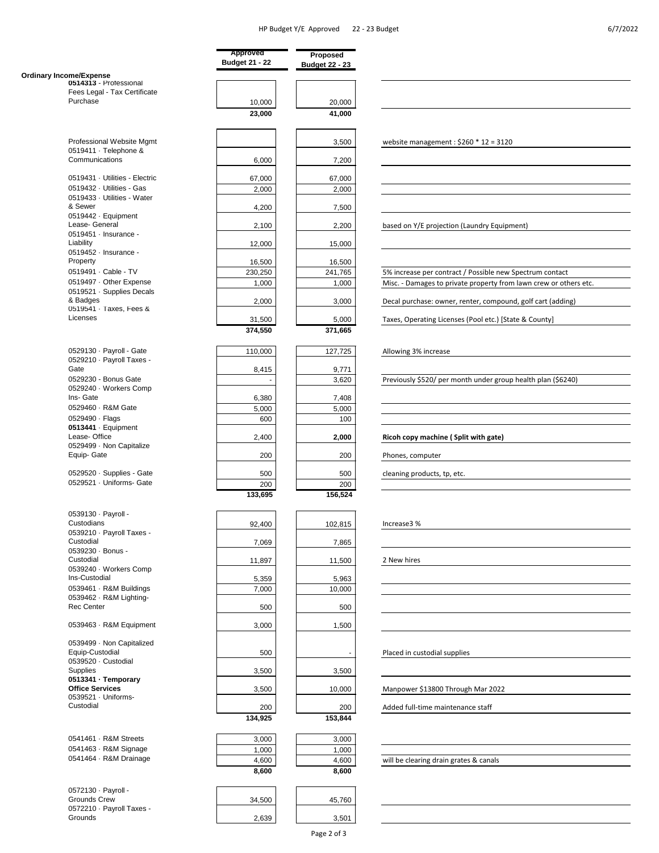|                                                                  | Approved<br><b>Budget 21 - 22</b> | Proposed<br><b>Budget 22 - 23</b> |                                                                   |
|------------------------------------------------------------------|-----------------------------------|-----------------------------------|-------------------------------------------------------------------|
| <b>Ordinary Income/Expense</b>                                   |                                   |                                   |                                                                   |
| 0514313 - Professional<br>Fees Legal - Tax Certificate           |                                   |                                   |                                                                   |
| Purchase                                                         | 10,000                            | 20,000                            |                                                                   |
|                                                                  | 23,000                            | 41,000                            |                                                                   |
| Professional Website Mgmt                                        |                                   | 3,500                             | website management: $$260 * 12 = 3120$                            |
| 0519411 · Telephone &<br>Communications                          | 6,000                             | 7,200                             |                                                                   |
| 0519431 · Utilities - Electric                                   | 67,000                            | 67,000                            |                                                                   |
| 0519432 · Utilities - Gas                                        | 2,000                             | 2,000                             |                                                                   |
| 0519433 · Utilities - Water<br>& Sewer                           | 4,200                             | 7,500                             |                                                                   |
| 0519442 · Equipment<br>Lease- General                            | 2,100                             | 2,200                             | based on Y/E projection (Laundry Equipment)                       |
| 0519451 · Insurance -<br>Liability                               | 12,000                            | 15,000                            |                                                                   |
| 0519452 · Insurance -                                            |                                   |                                   |                                                                   |
| Property                                                         | 16,500                            | 16,500                            |                                                                   |
| 0519491 · Cable - TV                                             | 230,250                           | 241,765                           | 5% increase per contract / Possible new Spectrum contact          |
| 0519497 · Other Expense                                          | 1,000                             | 1,000                             | Misc. - Damages to private property from lawn crew or others etc. |
| 0519521 · Supplies Decals<br>& Badges<br>0519541 · Taxes, Fees & | 2,000                             | 3,000                             | Decal purchase: owner, renter, compound, golf cart (adding)       |
| Licenses                                                         |                                   |                                   |                                                                   |
|                                                                  | 31,500<br>374,550                 | 5,000<br>371,665                  | Taxes, Operating Licenses (Pool etc.) [State & County]            |
|                                                                  |                                   |                                   |                                                                   |
| 0529130 · Payroll - Gate<br>0529210 · Payroll Taxes -            | 110,000                           | 127,725                           | Allowing 3% increase                                              |
| Gate                                                             | 8,415                             | 9,771                             |                                                                   |
| 0529230 - Bonus Gate<br>0529240 · Workers Comp                   |                                   | 3,620                             | Previously \$520/ per month under group health plan (\$6240)      |
| Ins- Gate                                                        | 6,380                             | 7,408                             |                                                                   |
| 0529460 · R&M Gate                                               | 5,000                             | 5,000                             |                                                                   |
| 0529490 · Flags                                                  | 600                               | 100                               |                                                                   |
| $0513441 \cdot$ Equipment                                        |                                   |                                   |                                                                   |
| Lease-Office                                                     | 2,400                             | 2,000                             | Ricoh copy machine (Split with gate)                              |
| 0529499 · Non Capitalize<br>Equip- Gate                          | 200                               | 200                               | Phones, computer                                                  |
| 0529520 · Supplies - Gate                                        | 500                               | 500                               | cleaning products, tp, etc.                                       |
| 0529521 · Uniforms- Gate                                         | 200                               | 200                               |                                                                   |
|                                                                  | 133,695                           | 156,524                           |                                                                   |
| 0539130 · Payroll -<br>Custodians                                | 92,400                            | 102,815                           | Increase3 %                                                       |
| 0539210 · Payroll Taxes -<br>Custodial                           | 7,069                             | 7,865                             |                                                                   |
| 0539230 · Bonus -<br>Custodial                                   | 11,897                            | 11,500                            | 2 New hires                                                       |
| 0539240 · Workers Comp<br>Ins-Custodial                          |                                   |                                   |                                                                   |
| 0539461 · R&M Buildings                                          | 5,359<br>7,000                    | 5,963<br>10,000                   |                                                                   |
| 0539462 · R&M Lighting-                                          |                                   |                                   |                                                                   |
| <b>Rec Center</b>                                                | 500                               | 500                               |                                                                   |
| 0539463 · R&M Equipment                                          | 3,000                             | 1,500                             |                                                                   |
| 0539499 · Non Capitalized<br>Equip-Custodial                     |                                   |                                   |                                                                   |
| 0539520 · Custodial                                              | 500                               |                                   | Placed in custodial supplies                                      |
| <b>Supplies</b>                                                  | 3,500                             | 3,500                             |                                                                   |
| 0513341 · Temporary<br><b>Office Services</b>                    | 3,500                             | 10,000                            | Manpower \$13800 Through Mar 2022                                 |
| 0539521 · Uniforms-                                              |                                   |                                   |                                                                   |
| Custodial                                                        | 200                               | 200                               | Added full-time maintenance staff                                 |
|                                                                  | 134,925                           | 153,844                           |                                                                   |
| 0541461 - R&M Streets                                            | 3,000                             | 3,000                             |                                                                   |
| 0541463 · R&M Signage                                            | 1,000                             | 1,000                             |                                                                   |
| 0541464 · R&M Drainage                                           | 4,600                             | 4,600                             | will be clearing drain grates & canals                            |
|                                                                  | 8,600                             | 8,600                             |                                                                   |
| 0572130 · Payroll -                                              |                                   |                                   |                                                                   |
| Grounds Crew<br>0572210 · Payroll Taxes -                        | 34,500                            | 45,760                            |                                                                   |
| Grounds                                                          | 2,639                             | 3,501                             |                                                                   |
|                                                                  |                                   |                                   |                                                                   |

Page 2 of 3